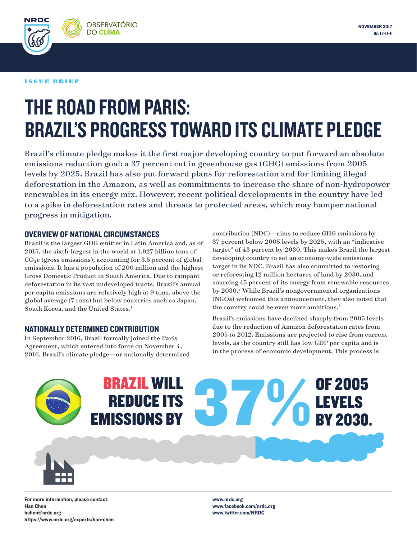

NRDO

# THE ROAD FROM PARIS: BRAZIL'S PROGRESS TOWARD ITS CLIMATE PLEDGE

Brazil's climate pledge makes it the first major developing country to put forward an absolute emissions reduction goal: a 37 percent cut in greenhouse gas (GHG) emissions from 2005 levels by 2025. Brazil has also put forward plans for reforestation and for limiting illegal deforestation in the Amazon, as well as commitments to increase the share of non-hydropower renewables in its energy mix. However, recent political developments in the country have led to a spike in deforestation rates and threats to protected areas, which may hamper national progress in mitigation.

### OVERVIEW OF NATIONAL CIRCUMSTANCES

Brazil is the largest GHG emitter in Latin America and, as of 2015, the sixth-largest in the world at 1.927 billion tons of  $CO<sub>2</sub>e$  (gross emissions), accounting for 3.5 percent of global emissions. It has a population of 200 million and the highest Gross Domestic Product in South America. Due to rampant deforestation in its vast undeveloped tracts, Brazil's annual per capita emissions are relatively high at 9 tons, above the global average (7 tons) but below countries such as Japan, South Korea, and the United States.<sup>1</sup>

# NATIONALLY DETERMINED CONTRIBUTION

In September 2016, Brazil formally joined the Paris Agreement, which entered into force on November 4, 2016. Brazil's climate pledge—or nationally determined contribution (NDC)—aims to reduce GHG emissions by 37 percent below 2005 levels by 2025, with an "indicative target" of 43 percent by 2030. This makes Brazil the largest developing country to set an economy-wide emissions target in its NDC. Brazil has also committed to restoring or reforesting 12 million hectares of land by 2030, and sourcing 45 percent of its energy from renewable resources by 2030.<sup>2</sup> While Brazil's nongovernmental organizations (NGOs) welcomed this announcement, they also noted that the country could be even more ambitious.<sup>3</sup>

Brazil's emissions have declined sharply from 2005 levels due to the reduction of Amazon deforestation rates from 2005 to 2012. Emissions are projected to rise from current levels, as the country still has low GDP per capita and is in the process of economic development. This process is



# BRAZIL WILL REDUCE ITS EMISSIONS BY OF 2005 **B796 LEVELS**<br>B796 BY 2030.

For more information, please contact: Han Chen hchen@nrdc.org https://www.nrdc.org/experts/han-chen www.nrdc.org www.facebook.com/nrdc.org www.twitter.com/NRDC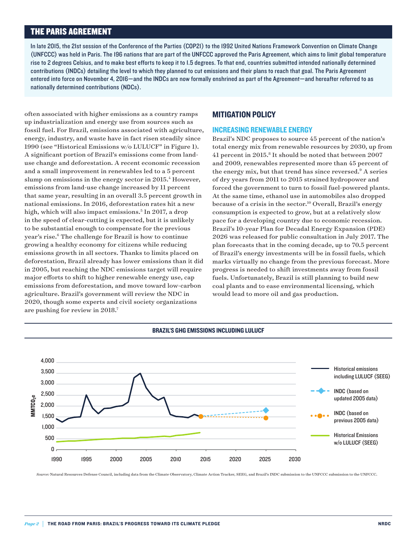# THE PARIS AGREEMENT

In late 2015, the 21st session of the Conference of the Parties (COP21) to the 1992 United Nations Framework Convention on Climate Change (UNFCCC) was held in Paris. The 196 nations that are part of the UNFCCC approved the Paris Agreement, which aims to limit global temperature rise to 2 degrees Celsius, and to make best efforts to keep it to 1.5 degrees. To that end, countries submitted intended nationally determined contributions (INDCs) detailing the level to which they planned to cut emissions and their plans to reach that goal. The Paris Agreement entered into force on November 4, 2016—and the INDCs are now formally enshrined as part of the Agreement—and hereafter referred to as nationally determined contributions (NDCs).

often associated with higher emissions as a country ramps up industrialization and energy use from sources such as fossil fuel. For Brazil, emissions associated with agriculture, energy, industry, and waste have in fact risen steadily since 1990 (see "Historical Emissions w/o LULUCF" in Figure 1). A significant portion of Brazil's emissions come from landuse change and deforestation. A recent economic recession and a small improvement in renewables led to a 5 percent slump on emissions in the energy sector in 2015.<sup>4</sup> However, emissions from land-use change increased by 11 percent that same year, resulting in an overall 3.5 percent growth in national emissions. In 2016, deforestation rates hit a new high, which will also impact emissions.<sup>5</sup> In 2017, a drop in the speed of clear-cutting is expected, but it is unlikely to be substantial enough to compensate for the previous year's rise.<sup>6</sup> The challenge for Brazil is how to continue growing a healthy economy for citizens while reducing emissions growth in all sectors. Thanks to limits placed on deforestation, Brazil already has lower emissions than it did in 2005, but reaching the NDC emissions target will require major efforts to shift to higher renewable energy use, cap emissions from deforestation, and move toward low-carbon agriculture. Brazil's government will review the NDC in 2020, though some experts and civil society organizations are pushing for review in 2018.7

#### MITIGATION POLICY

#### INCREASING RENEWABLE ENERGY

Brazil's NDC proposes to source 45 percent of the nation's total energy mix from renewable resources by 2030, up from 41 percent in 2015.<sup>8</sup> It should be noted that between 2007 and 2009, renewables represented more than 45 percent of the energy mix, but that trend has since reversed.<sup>9</sup> A series of dry years from 2011 to 2015 strained hydropower and forced the government to turn to fossil fuel-powered plants. At the same time, ethanol use in automobiles also dropped because of a crisis in the sector.<sup>10</sup> Overall, Brazil's energy consumption is expected to grow, but at a relatively slow pace for a developing country due to economic recession. Brazil's 10-year Plan for Decadal Energy Expansion (PDE) 2026 was released for public consultation in July 2017. The plan forecasts that in the coming decade, up to 70.5 percent of Brazil's energy investments will be in fossil fuels, which marks virtually no change from the previous forecast. More progress is needed to shift investments away from fossil fuels. Unfortunately, Brazil is still planning to build new coal plants and to ease environmental licensing, which would lead to more oil and gas production.



BRAZIL'S GHG EMISSIONS INCLUDING LULUCF

*urce:* Natural Resources Defense Council, including data from the Climate Observatory, Climate Action Tracker, SEEG, and Brazil's INDC submission to the UNFCCC submission to the UNFCCC.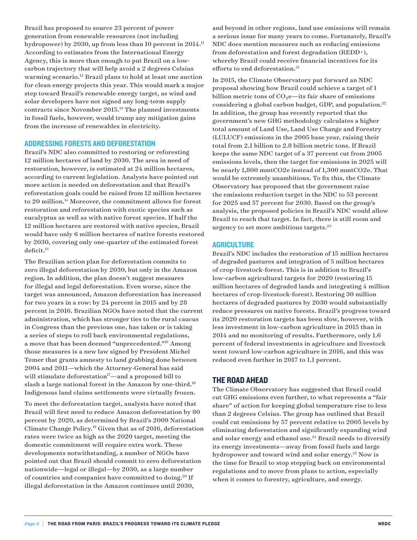Brazil has proposed to source 23 percent of power generation from renewable resources (not including hydropower) by 2030, up from less than 10 percent in 2014.<sup>11</sup> According to estimates from the International Energy Agency, this is more than enough to put Brazil on a lowcarbon trajectory that will help avoid a 2 degrees Celsius warming scenario.<sup>12</sup> Brazil plans to hold at least one auction for clean energy projects this year. This would mark a major step toward Brazil's renewable energy target, as wind and solar developers have not signed any long-term supply contracts since November 2015.13 The planned investments in fossil fuels, however, would trump any mitigation gains from the increase of renewables in electricity.

#### ADDRESSING FORESTS AND DEFORESTATION

Brazil's NDC also committed to restoring or reforesting 12 million hectares of land by 2030. The area in need of restoration, however, is estimated at 24 million hectares, according to current legislation. Analysts have pointed out more action is needed on deforestation and that Brazil's reforestation goals could be raised from 12 million hectares to 20 million.<sup>14</sup> Moreover, the commitment allows for forest restoration and reforestation with exotic species such as eucalyptus as well as with native forest species. If half the 12 million hectares are restored with native species, Brazil would have only 6 million hectares of native forests restored by 2030, covering only one-quarter of the estimated forest deficit.15

The Brazilian action plan for deforestation commits to zero illegal deforestation by 2030, but only in the Amazon region. In addition, the plan doesn't suggest measures for illegal and legal deforestation. Even worse, since the target was announced, Amazon deforestation has increased for two years in a row: by 24 percent in 2015 and by 28 percent in 2016. Brazilian NGOs have noted that the current administration, which has stronger ties to the rural caucus in Congress than the previous one, has taken or is taking a series of steps to roll back environmental regulations, a move that has been deemed "unprecedented."16 Among those measures is a new law signed by President Michel Temer that grants amnesty to land grabbing done between 2004 and 2011—which the Attorney-General has said will stimulate deforestation $17$ —and a proposed bill to slash a large national forest in the Amazon by one-third.<sup>18</sup> Indigenous land claims settlements were virtually frozen.

To meet the deforestation target, analysts have noted that Brazil will first need to reduce Amazon deforestation by 80 percent by 2020, as determined by Brazil's 2009 National Climate Change Policy.19 Given that as of 2016, deforestation rates were twice as high as the 2020 target, meeting the domestic commitment will require extra work. These developments notwithstanding, a number of NGOs have pointed out that Brazil should commit to zero deforestation nationwide—legal or illegal—by 2030, as a large number of countries and companies have committed to doing.20 If illegal deforestation in the Amazon continues until 2030,

and beyond in other regions, land use emissions will remain a serious issue for many years to come. Fortunately, Brazil's NDC does mention measures such as reducing emissions from deforestation and forest degradation (REDD+), whereby Brazil could receive financial incentives for its efforts to end deforestation.<sup>21</sup>

In 2015, the Climate Observatory put forward an NDC proposal showing how Brazil could achieve a target of 1 billion metric tons of  $CO<sub>2</sub>e$ —its fair share of emissions considering a global carbon budget, GDP, and population.<sup>22</sup> In addition, the group has recently reported that the government's new GHG methodology calculates a higher total amount of Land Use, Land Use Change and Forestry (LULUCF) emissions in the 2005 base year, raising their total from 2.1 billion to 2.8 billion metric tons. If Brazil keeps the same NDC target of a 37 percent cut from 2005 emissions levels, then the target for emissions in 2025 will be nearly 1,800 mmtCO2e instead of 1,300 mmtCO2e. That would be extremely unambitious. To fix this, the Climate Observatory has proposed that the government raise the emissions reduction target in the NDC to 53 percent for 2025 and 57 percent for 2030. Based on the group's analysis, the proposed policies in Brazil's NDC would allow Brazil to reach that target. In fact, there is still room and urgency to set more ambitious targets.<sup>23</sup>

#### **AGRICULTURE**

Brazil's NDC includes the restoration of 15 million hectares of degraded pastures and integration of 5 million hectares of crop-livestock-forest. This is in addition to Brazil's low-carbon agricultural targets for 2020 (restoring 15 million hectares of degraded lands and integrating 4 million hectares of crop-livestock-forest). Restoring 30 million hectares of degraded pastures by 2030 would substantially reduce pressures on native forests. Brazil's progress toward its 2020 restoration targets has been slow, however, with less investment in low-carbon agriculture in 2015 than in 2014 and no monitoring of results. Furthermore, only 1.6 percent of federal investments in agriculture and livestock went toward low-carbon agriculture in 2016, and this was reduced even further in 2017 to 1.1 percent.

#### THE ROAD AHEAD

The Climate Observatory has suggested that Brazil could cut GHG emissions even further, to what represents a "fair share" of action for keeping global temperature rise to less than 2 degrees Celsius. The group has outlined that Brazil could cut emissions by 57 percent relative to 2005 levels by eliminating deforestation and significantly expanding wind and solar energy and ethanol use.<sup>24</sup> Brazil needs to diversify its energy investments—away from fossil fuels and large hydropower and toward wind and solar energy.<sup>25</sup> Now is the time for Brazil to stop stepping back on environmental regulations and to move from plans to action, especially when it comes to forestry, agriculture, and energy.